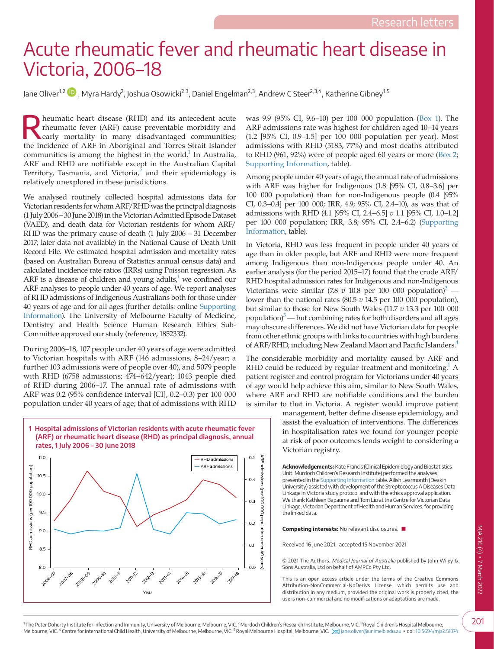## Acute rheumatic fever and rheumatic heart disease in Victoria, 2006–18

Jane Oliver<sup>1,2</sup>  $\blacksquare$  , Myra Hardy $^2$ , Joshua Osowicki $^{2,3}$ , Daniel Engelman $^{2,3}$ , Andrew C Steer $^{2,3,4}$ , Katherine Gibney $^{1,5}$ 

**Exhibition** heart disease (RHD) and its antecedent acute rheumatic fever (ARF) cause preventable morbidity and early mortality in many disadvantaged communities; rheumatic fever (ARF) cause preventable morbidity and the incidence of ARF in Aboriginal and Torres Strait Islander communities is among the highest in the world. $<sup>1</sup>$  In Australia,</sup> ARF and RHD are notifiable except in the Australian Capital Territory, Tasmania, and Victoria, $^{2}$  $^{2}$  $^{2}$  and their epidemiology is relatively unexplored in these jurisdictions.

We analysed routinely collected hospital admissions data for Victorian residents for whom ARF/RHD was the principal diagnosis (1 July 2006 – 30 June 2018) in the Victorian Admitted Episode Dataset (VAED), and death data for Victorian residents for whom ARF/ RHD was the primary cause of death (1 July 2006 – 31 December 2017; later data not available) in the National Cause of Death Unit Record File. We estimated hospital admission and mortality rates (based on Australian Bureau of Statistics annual census data) and calculated incidence rate ratios (IRRs) using Poisson regression. As ARF is a disease of children and young adults, $1$  we confined our ARF analyses to people under 40 years of age. We report analyses of RHD admissions of Indigenous Australians both for those under 40 years of age and for all ages (further details: online [Supporting](#page-1-2)  [Information](#page-1-2)). The University of Melbourne Faculty of Medicine, Dentistry and Health Science Human Research Ethics Sub-Committee approved our study (reference, 1852332).

During 2006–18, 107 people under 40 years of age were admitted to Victorian hospitals with ARF (146 admissions, 8–24/year; a further 103 admissions were of people over 40), and 5079 people with RHD (6758 admissions; 474–642/year); 1043 people died of RHD during 2006–17. The annual rate of admissions with ARF was 0.2 (95% confidence interval [CI], 0.2–0.3) per 100 000 population under 40 years of age; that of admissions with RHD

<span id="page-0-0"></span>

was 9.9 (95% CI, 9.6–10) per 100 000 population [\(Box 1](#page-0-0)). The ARF admissions rate was highest for children aged 10–14 years (1.2 [95% CI, 0.9–1.5] per 100 000 population per year). Most admissions with RHD (5183, 77%) and most deaths attributed to RHD (961, 92%) were of people aged 60 years or more ([Box 2;](#page-1-3) [Supporting Information,](#page-1-2) table).

Among people under 40 years of age, the annual rate of admissions with ARF was higher for Indigenous (1.8 [95% CI, 0.8–3.6] per 100 000 population) than for non-Indigenous people (0.4 [95% CI, 0.3–0.4] per 100 000; IRR, 4.9; 95% CI, 2.4–10), as was that of admissions with RHD (4.1 [95% CI, 2.4–6.5] *v* 1.1 [95% CI, 1.0–1.2] per 100 000 population; IRR, 3.8; 95% CI, 2.4–6.2) [\(Supporting](#page-1-2)  [Information,](#page-1-2) table).

In Victoria, RHD was less frequent in people under 40 years of age than in older people, but ARF and RHD were more frequent among Indigenous than non-Indigenous people under 40. An earlier analysis (for the period 2015–17) found that the crude ARF/ RHD hospital admission rates for Indigenous and non-Indigenous Victorians were similar (7.8  $v$  10.8 per 100 000 population)<sup>3</sup> lower than the national rates (80.5 *v* 14.5 per 100 000 population), but similar to those for New South Wales (11.7 *v* 13.3 per 100 000 population) $\beta$  — but combining rates for both disorders and all ages may obscure differences. We did not have Victorian data for people from other ethnic groups with links to countries with high burdens of ARF/RHD, including New Zealand Māori and Pacific Islanders.<sup>4</sup>

The considerable morbidity and mortality caused by ARF and RHD could be reduced by regular treatment and monitoring.<sup>1</sup> A patient register and control program for Victorians under 40 years of age would help achieve this aim, similar to New South Wales, where ARF and RHD are notifiable conditions and the burden is similar to that in Victoria. A register would improve patient

> management, better define disease epidemiology, and assist the evaluation of interventions. The differences in hospitalisation rates we found for younger people at risk of poor outcomes lends weight to considering a Victorian registry.

**Acknowledgements:** Kate Francis (Clinical Epidemiology and Biostatistics Unit, Murdoch Children's Research Institute) performed the analyses presented in the [Supporting Information](#page-1-2) table. Ailish Learmonth (Deakin University) assisted with development of the Streptococcus A Diseases Data Linkage in Victoria study protocol and with the ethics approval application. We thank Kathleen Bapaume and Tom Liu at the Centre for Victorian Data Linkage, Victorian Department of Health and Human Services, for providing the linked data.

**Competing interests:** No relevant disclosures. ■

Received 16 June 2021, accepted 15 November 2021

© 2021 The Authors. Medical Journal of Australia published by John Wiley & Sons Australia, Ltd on behalf of AMPCo Pty Ltd.

This is an open access article under the terms of the Creative Commons Attribution-NonCommercial-NoDerivs License, which permits use and distribution in any medium, provided the original work is properly cited, the use is non-commercial and no modifications or adaptations are made.